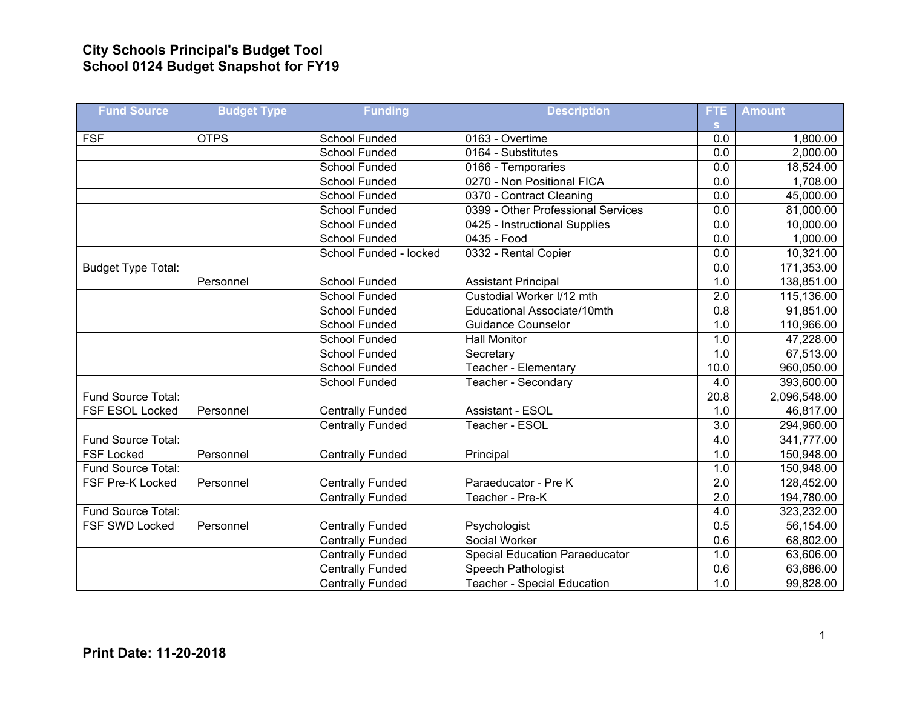## **City Schools Principal's Budget Tool School 0124 Budget Snapshot for FY19**

| <b>Fund Source</b>        | <b>Budget Type</b> | <b>Funding</b>          | <b>Description</b>                    | FTE.             | <b>Amount</b> |
|---------------------------|--------------------|-------------------------|---------------------------------------|------------------|---------------|
|                           |                    |                         |                                       | S.               |               |
| <b>FSF</b>                | <b>OTPS</b>        | School Funded           | 0163 - Overtime                       | 0.0              | 1,800.00      |
|                           |                    | <b>School Funded</b>    | 0164 - Substitutes                    | 0.0              | 2,000.00      |
|                           |                    | School Funded           | 0166 - Temporaries                    | 0.0              | 18,524.00     |
|                           |                    | <b>School Funded</b>    | 0270 - Non Positional FICA            | $\overline{0.0}$ | 1,708.00      |
|                           |                    | School Funded           | 0370 - Contract Cleaning              | $\overline{0.0}$ | 45,000.00     |
|                           |                    | School Funded           | 0399 - Other Professional Services    | 0.0              | 81,000.00     |
|                           |                    | <b>School Funded</b>    | 0425 - Instructional Supplies         | 0.0              | 10,000.00     |
|                           |                    | <b>School Funded</b>    | 0435 - Food                           | $\overline{0.0}$ | 1,000.00      |
|                           |                    | School Funded - locked  | 0332 - Rental Copier                  | $\overline{0.0}$ | 10,321.00     |
| <b>Budget Type Total:</b> |                    |                         |                                       | 0.0              | 171,353.00    |
|                           | Personnel          | School Funded           | <b>Assistant Principal</b>            | 1.0              | 138,851.00    |
|                           |                    | School Funded           | Custodial Worker I/12 mth             | 2.0              | 115,136.00    |
|                           |                    | <b>School Funded</b>    | Educational Associate/10mth           | 0.8              | 91,851.00     |
|                           |                    | <b>School Funded</b>    | <b>Guidance Counselor</b>             | 1.0              | 110,966.00    |
|                           |                    | School Funded           | <b>Hall Monitor</b>                   | 1.0              | 47,228.00     |
|                           |                    | School Funded           | Secretary                             | 1.0              | 67,513.00     |
|                           |                    | School Funded           | Teacher - Elementary                  | 10.0             | 960,050.00    |
|                           |                    | School Funded           | Teacher - Secondary                   | 4.0              | 393,600.00    |
| Fund Source Total:        |                    |                         |                                       | 20.8             | 2,096,548.00  |
| <b>FSF ESOL Locked</b>    | Personnel          | <b>Centrally Funded</b> | Assistant - ESOL                      | 1.0              | 46,817.00     |
|                           |                    | <b>Centrally Funded</b> | Teacher - ESOL                        | 3.0              | 294,960.00    |
| Fund Source Total:        |                    |                         |                                       | 4.0              | 341,777.00    |
| <b>FSF Locked</b>         | Personnel          | <b>Centrally Funded</b> | Principal                             | 1.0              | 150,948.00    |
| Fund Source Total:        |                    |                         |                                       | 1.0              | 150,948.00    |
| FSF Pre-K Locked          | Personnel          | <b>Centrally Funded</b> | Paraeducator - Pre K                  | 2.0              | 128,452.00    |
|                           |                    | <b>Centrally Funded</b> | Teacher - Pre-K                       | $\overline{2.0}$ | 194,780.00    |
| Fund Source Total:        |                    |                         |                                       | 4.0              | 323,232.00    |
| FSF SWD Locked            | Personnel          | <b>Centrally Funded</b> | Psychologist                          | 0.5              | 56,154.00     |
|                           |                    | <b>Centrally Funded</b> | Social Worker                         | 0.6              | 68,802.00     |
|                           |                    | <b>Centrally Funded</b> | <b>Special Education Paraeducator</b> | 1.0              | 63,606.00     |
|                           |                    | <b>Centrally Funded</b> | Speech Pathologist                    | 0.6              | 63,686.00     |
|                           |                    | <b>Centrally Funded</b> | <b>Teacher - Special Education</b>    | 1.0              | 99,828.00     |